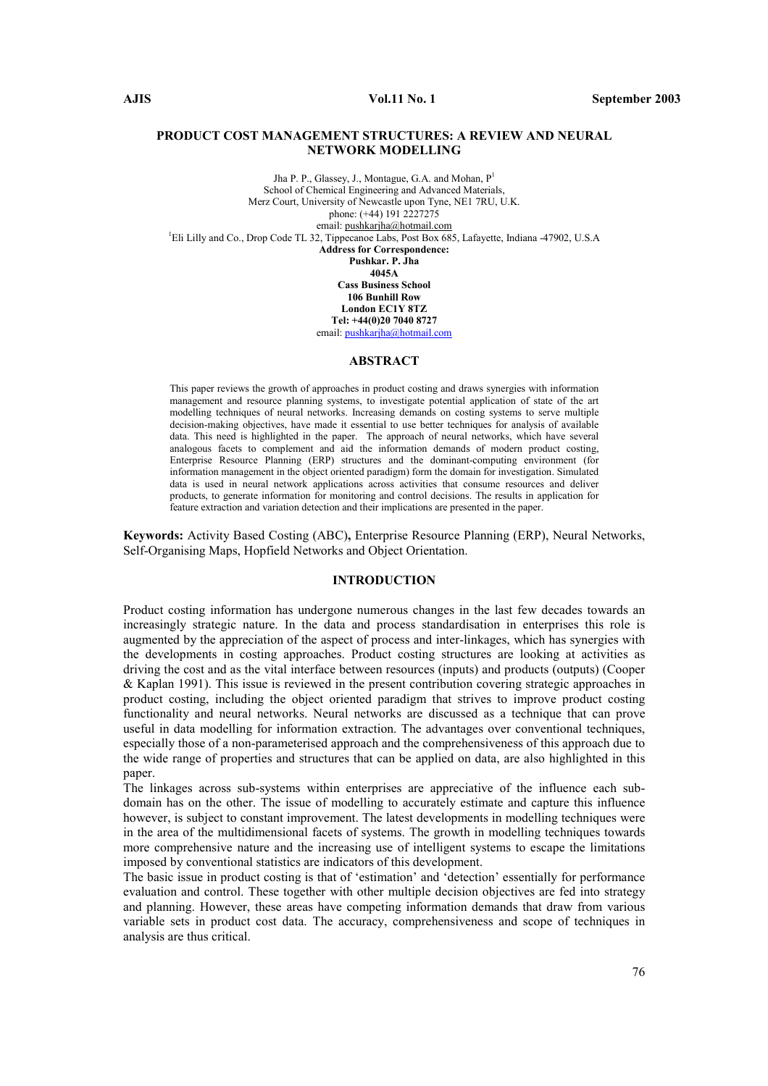### PRODUCT COST MANAGEMENT STRUCTURES: A REVIEW AND NEURAL NETWORK MODELLING

Jha P. P., Glassey, J., Montague, G.A. and Mohan, P<sup>1</sup> School of Chemical Engineering and Advanced Materials, Merz Court, University of Newcastle upon Tyne, NE1 7RU, U.K. phone: (+44) 191 2227275 email: pushkarjha@hotmail.com <sup>1</sup>Eli Lilly and Co., Drop Code TL 32, Tippecanoe Labs, Post Box 685, Lafayette, Indiana -47902, U.S.A Address for Correspondence: Pushkar. P. Jha 4045A Cass Business School 106 Bunhill Row London EC1Y 8TZ Tel: +44(0)20 7040 8727 email: pushkarjha@hotmail.com

#### ABSTRACT

This paper reviews the growth of approaches in product costing and draws synergies with information management and resource planning systems, to investigate potential application of state of the art modelling techniques of neural networks. Increasing demands on costing systems to serve multiple decision-making objectives, have made it essential to use better techniques for analysis of available data. This need is highlighted in the paper. The approach of neural networks, which have several analogous facets to complement and aid the information demands of modern product costing, Enterprise Resource Planning (ERP) structures and the dominant-computing environment (for information management in the object oriented paradigm) form the domain for investigation. Simulated data is used in neural network applications across activities that consume resources and deliver products, to generate information for monitoring and control decisions. The results in application for feature extraction and variation detection and their implications are presented in the paper.

Keywords: Activity Based Costing (ABC), Enterprise Resource Planning (ERP), Neural Networks, Self-Organising Maps, Hopfield Networks and Object Orientation.

### INTRODUCTION

Product costing information has undergone numerous changes in the last few decades towards an increasingly strategic nature. In the data and process standardisation in enterprises this role is augmented by the appreciation of the aspect of process and inter-linkages, which has synergies with the developments in costing approaches. Product costing structures are looking at activities as driving the cost and as the vital interface between resources (inputs) and products (outputs) (Cooper & Kaplan 1991). This issue is reviewed in the present contribution covering strategic approaches in product costing, including the object oriented paradigm that strives to improve product costing functionality and neural networks. Neural networks are discussed as a technique that can prove useful in data modelling for information extraction. The advantages over conventional techniques, especially those of a non-parameterised approach and the comprehensiveness of this approach due to the wide range of properties and structures that can be applied on data, are also highlighted in this paper.

The linkages across sub-systems within enterprises are appreciative of the influence each subdomain has on the other. The issue of modelling to accurately estimate and capture this influence however, is subject to constant improvement. The latest developments in modelling techniques were in the area of the multidimensional facets of systems. The growth in modelling techniques towards more comprehensive nature and the increasing use of intelligent systems to escape the limitations imposed by conventional statistics are indicators of this development.

The basic issue in product costing is that of 'estimation' and 'detection' essentially for performance evaluation and control. These together with other multiple decision objectives are fed into strategy and planning. However, these areas have competing information demands that draw from various variable sets in product cost data. The accuracy, comprehensiveness and scope of techniques in analysis are thus critical.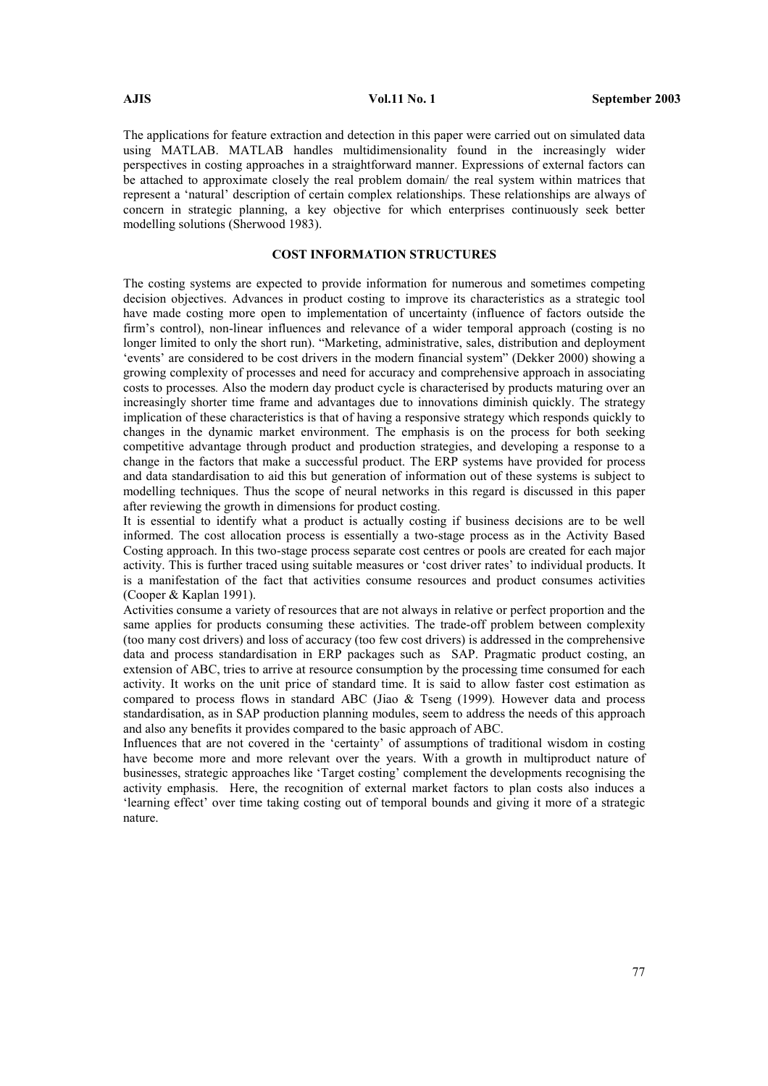The applications for feature extraction and detection in this paper were carried out on simulated data using MATLAB. MATLAB handles multidimensionality found in the increasingly wider perspectives in costing approaches in a straightforward manner. Expressions of external factors can be attached to approximate closely the real problem domain/ the real system within matrices that represent a 'natural' description of certain complex relationships. These relationships are always of concern in strategic planning, a key objective for which enterprises continuously seek better modelling solutions (Sherwood 1983).

# COST INFORMATION STRUCTURES

The costing systems are expected to provide information for numerous and sometimes competing decision objectives. Advances in product costing to improve its characteristics as a strategic tool have made costing more open to implementation of uncertainty (influence of factors outside the firm's control), non-linear influences and relevance of a wider temporal approach (costing is no longer limited to only the short run). "Marketing, administrative, sales, distribution and deployment 'events' are considered to be cost drivers in the modern financial system" (Dekker 2000) showing a growing complexity of processes and need for accuracy and comprehensive approach in associating costs to processes. Also the modern day product cycle is characterised by products maturing over an increasingly shorter time frame and advantages due to innovations diminish quickly. The strategy implication of these characteristics is that of having a responsive strategy which responds quickly to changes in the dynamic market environment. The emphasis is on the process for both seeking competitive advantage through product and production strategies, and developing a response to a change in the factors that make a successful product. The ERP systems have provided for process and data standardisation to aid this but generation of information out of these systems is subject to modelling techniques. Thus the scope of neural networks in this regard is discussed in this paper after reviewing the growth in dimensions for product costing.

It is essential to identify what a product is actually costing if business decisions are to be well informed. The cost allocation process is essentially a two-stage process as in the Activity Based Costing approach. In this two-stage process separate cost centres or pools are created for each major activity. This is further traced using suitable measures or 'cost driver rates' to individual products. It is a manifestation of the fact that activities consume resources and product consumes activities (Cooper & Kaplan 1991).

Activities consume a variety of resources that are not always in relative or perfect proportion and the same applies for products consuming these activities. The trade-off problem between complexity (too many cost drivers) and loss of accuracy (too few cost drivers) is addressed in the comprehensive data and process standardisation in ERP packages such as SAP. Pragmatic product costing, an extension of ABC, tries to arrive at resource consumption by the processing time consumed for each activity. It works on the unit price of standard time. It is said to allow faster cost estimation as compared to process flows in standard ABC (Jiao & Tseng (1999). However data and process standardisation, as in SAP production planning modules, seem to address the needs of this approach and also any benefits it provides compared to the basic approach of ABC.

Influences that are not covered in the 'certainty' of assumptions of traditional wisdom in costing have become more and more relevant over the years. With a growth in multiproduct nature of businesses, strategic approaches like 'Target costing' complement the developments recognising the activity emphasis. Here, the recognition of external market factors to plan costs also induces a 'learning effect' over time taking costing out of temporal bounds and giving it more of a strategic nature.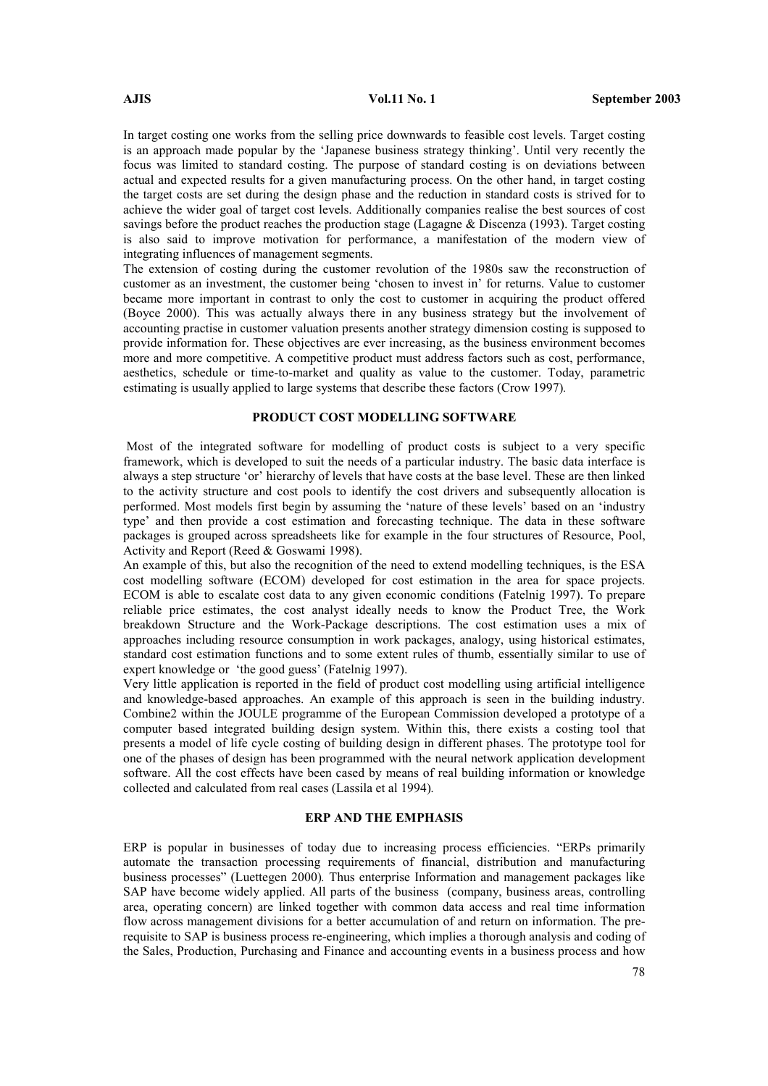In target costing one works from the selling price downwards to feasible cost levels. Target costing is an approach made popular by the 'Japanese business strategy thinking'. Until very recently the focus was limited to standard costing. The purpose of standard costing is on deviations between actual and expected results for a given manufacturing process. On the other hand, in target costing the target costs are set during the design phase and the reduction in standard costs is strived for to achieve the wider goal of target cost levels. Additionally companies realise the best sources of cost savings before the product reaches the production stage (Lagagne & Discenza (1993). Target costing is also said to improve motivation for performance, a manifestation of the modern view of integrating influences of management segments.

The extension of costing during the customer revolution of the 1980s saw the reconstruction of customer as an investment, the customer being 'chosen to invest in' for returns. Value to customer became more important in contrast to only the cost to customer in acquiring the product offered (Boyce 2000). This was actually always there in any business strategy but the involvement of accounting practise in customer valuation presents another strategy dimension costing is supposed to provide information for. These objectives are ever increasing, as the business environment becomes more and more competitive. A competitive product must address factors such as cost, performance, aesthetics, schedule or time-to-market and quality as value to the customer. Today, parametric estimating is usually applied to large systems that describe these factors (Crow 1997).

# PRODUCT COST MODELLING SOFTWARE

 Most of the integrated software for modelling of product costs is subject to a very specific framework, which is developed to suit the needs of a particular industry. The basic data interface is always a step structure 'or' hierarchy of levels that have costs at the base level. These are then linked to the activity structure and cost pools to identify the cost drivers and subsequently allocation is performed. Most models first begin by assuming the 'nature of these levels' based on an 'industry type' and then provide a cost estimation and forecasting technique. The data in these software packages is grouped across spreadsheets like for example in the four structures of Resource, Pool, Activity and Report (Reed & Goswami 1998).

An example of this, but also the recognition of the need to extend modelling techniques, is the ESA cost modelling software (ECOM) developed for cost estimation in the area for space projects. ECOM is able to escalate cost data to any given economic conditions (Fatelnig 1997). To prepare reliable price estimates, the cost analyst ideally needs to know the Product Tree, the Work breakdown Structure and the Work-Package descriptions. The cost estimation uses a mix of approaches including resource consumption in work packages, analogy, using historical estimates, standard cost estimation functions and to some extent rules of thumb, essentially similar to use of expert knowledge or 'the good guess' (Fatelnig 1997).

Very little application is reported in the field of product cost modelling using artificial intelligence and knowledge-based approaches. An example of this approach is seen in the building industry. Combine2 within the JOULE programme of the European Commission developed a prototype of a computer based integrated building design system. Within this, there exists a costing tool that presents a model of life cycle costing of building design in different phases. The prototype tool for one of the phases of design has been programmed with the neural network application development software. All the cost effects have been cased by means of real building information or knowledge collected and calculated from real cases (Lassila et al 1994).

### ERP AND THE EMPHASIS

ERP is popular in businesses of today due to increasing process efficiencies. "ERPs primarily automate the transaction processing requirements of financial, distribution and manufacturing business processes" (Luettegen 2000). Thus enterprise Information and management packages like SAP have become widely applied. All parts of the business (company, business areas, controlling area, operating concern) are linked together with common data access and real time information flow across management divisions for a better accumulation of and return on information. The prerequisite to SAP is business process re-engineering, which implies a thorough analysis and coding of the Sales, Production, Purchasing and Finance and accounting events in a business process and how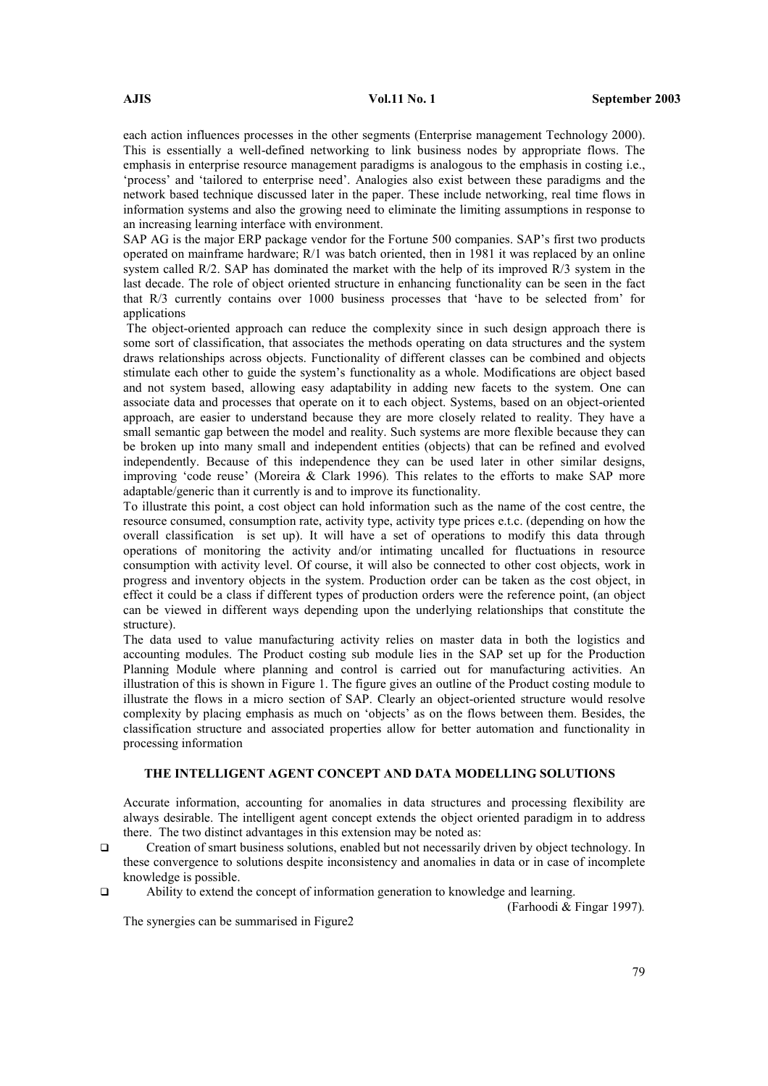each action influences processes in the other segments (Enterprise management Technology 2000). This is essentially a well-defined networking to link business nodes by appropriate flows. The emphasis in enterprise resource management paradigms is analogous to the emphasis in costing i.e., 'process' and 'tailored to enterprise need'. Analogies also exist between these paradigms and the network based technique discussed later in the paper. These include networking, real time flows in information systems and also the growing need to eliminate the limiting assumptions in response to an increasing learning interface with environment.

SAP AG is the major ERP package vendor for the Fortune 500 companies. SAP's first two products operated on mainframe hardware; R/1 was batch oriented, then in 1981 it was replaced by an online system called R/2. SAP has dominated the market with the help of its improved R/3 system in the last decade. The role of object oriented structure in enhancing functionality can be seen in the fact that R/3 currently contains over 1000 business processes that 'have to be selected from' for applications

 The object-oriented approach can reduce the complexity since in such design approach there is some sort of classification, that associates the methods operating on data structures and the system draws relationships across objects. Functionality of different classes can be combined and objects stimulate each other to guide the system's functionality as a whole. Modifications are object based and not system based, allowing easy adaptability in adding new facets to the system. One can associate data and processes that operate on it to each object. Systems, based on an object-oriented approach, are easier to understand because they are more closely related to reality. They have a small semantic gap between the model and reality. Such systems are more flexible because they can be broken up into many small and independent entities (objects) that can be refined and evolved independently. Because of this independence they can be used later in other similar designs, improving 'code reuse' (Moreira & Clark 1996). This relates to the efforts to make SAP more adaptable/generic than it currently is and to improve its functionality.

To illustrate this point, a cost object can hold information such as the name of the cost centre, the resource consumed, consumption rate, activity type, activity type prices e.t.c. (depending on how the overall classification is set up). It will have a set of operations to modify this data through operations of monitoring the activity and/or intimating uncalled for fluctuations in resource consumption with activity level. Of course, it will also be connected to other cost objects, work in progress and inventory objects in the system. Production order can be taken as the cost object, in effect it could be a class if different types of production orders were the reference point, (an object can be viewed in different ways depending upon the underlying relationships that constitute the structure).

The data used to value manufacturing activity relies on master data in both the logistics and accounting modules. The Product costing sub module lies in the SAP set up for the Production Planning Module where planning and control is carried out for manufacturing activities. An illustration of this is shown in Figure 1. The figure gives an outline of the Product costing module to illustrate the flows in a micro section of SAP. Clearly an object-oriented structure would resolve complexity by placing emphasis as much on 'objects' as on the flows between them. Besides, the classification structure and associated properties allow for better automation and functionality in processing information

# THE INTELLIGENT AGENT CONCEPT AND DATA MODELLING SOLUTIONS

Accurate information, accounting for anomalies in data structures and processing flexibility are always desirable. The intelligent agent concept extends the object oriented paradigm in to address there. The two distinct advantages in this extension may be noted as:

 Creation of smart business solutions, enabled but not necessarily driven by object technology. In these convergence to solutions despite inconsistency and anomalies in data or in case of incomplete knowledge is possible.

Ability to extend the concept of information generation to knowledge and learning.

(Farhoodi & Fingar 1997).

The synergies can be summarised in Figure2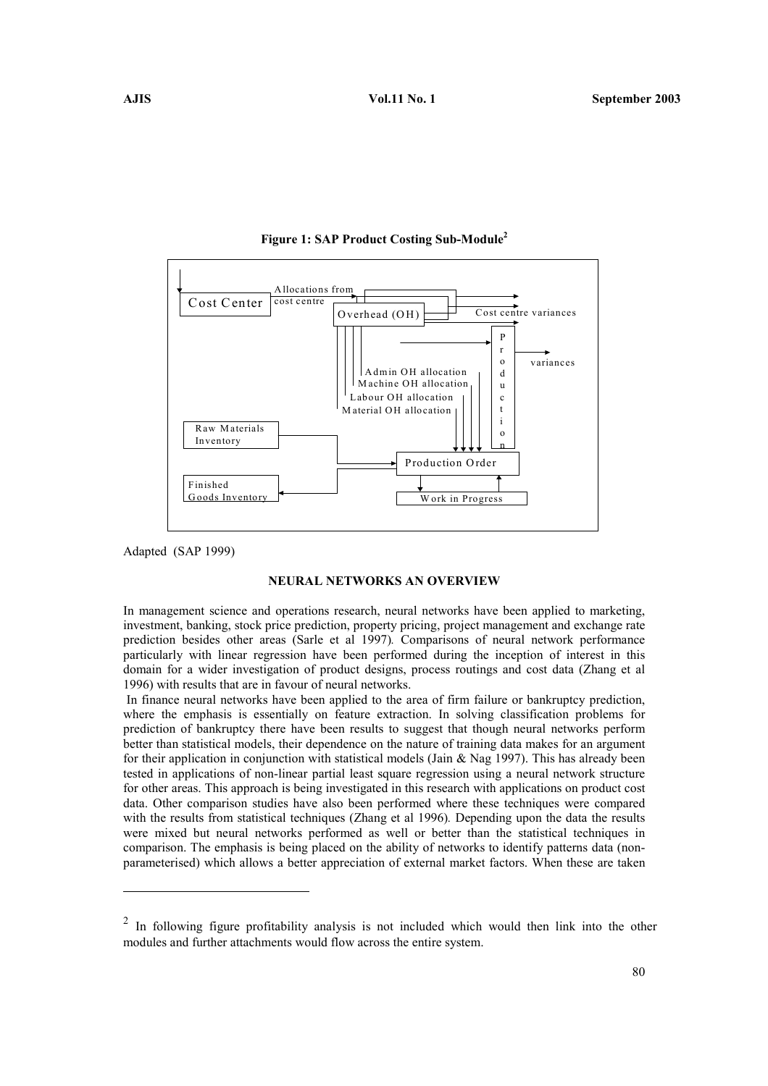

#### Figure 1: SAP Product Costing Sub-Module<sup>2</sup>

Adapted (SAP 1999)

 $\overline{a}$ 

### NEURAL NETWORKS AN OVERVIEW

In management science and operations research, neural networks have been applied to marketing, investment, banking, stock price prediction, property pricing, project management and exchange rate prediction besides other areas (Sarle et al 1997). Comparisons of neural network performance particularly with linear regression have been performed during the inception of interest in this domain for a wider investigation of product designs, process routings and cost data (Zhang et al 1996) with results that are in favour of neural networks.

 In finance neural networks have been applied to the area of firm failure or bankruptcy prediction, where the emphasis is essentially on feature extraction. In solving classification problems for prediction of bankruptcy there have been results to suggest that though neural networks perform better than statistical models, their dependence on the nature of training data makes for an argument for their application in conjunction with statistical models (Jain  $\&$  Nag 1997). This has already been tested in applications of non-linear partial least square regression using a neural network structure for other areas. This approach is being investigated in this research with applications on product cost data. Other comparison studies have also been performed where these techniques were compared with the results from statistical techniques (Zhang et al 1996). Depending upon the data the results were mixed but neural networks performed as well or better than the statistical techniques in comparison. The emphasis is being placed on the ability of networks to identify patterns data (nonparameterised) which allows a better appreciation of external market factors. When these are taken

<sup>2</sup> In following figure profitability analysis is not included which would then link into the other modules and further attachments would flow across the entire system.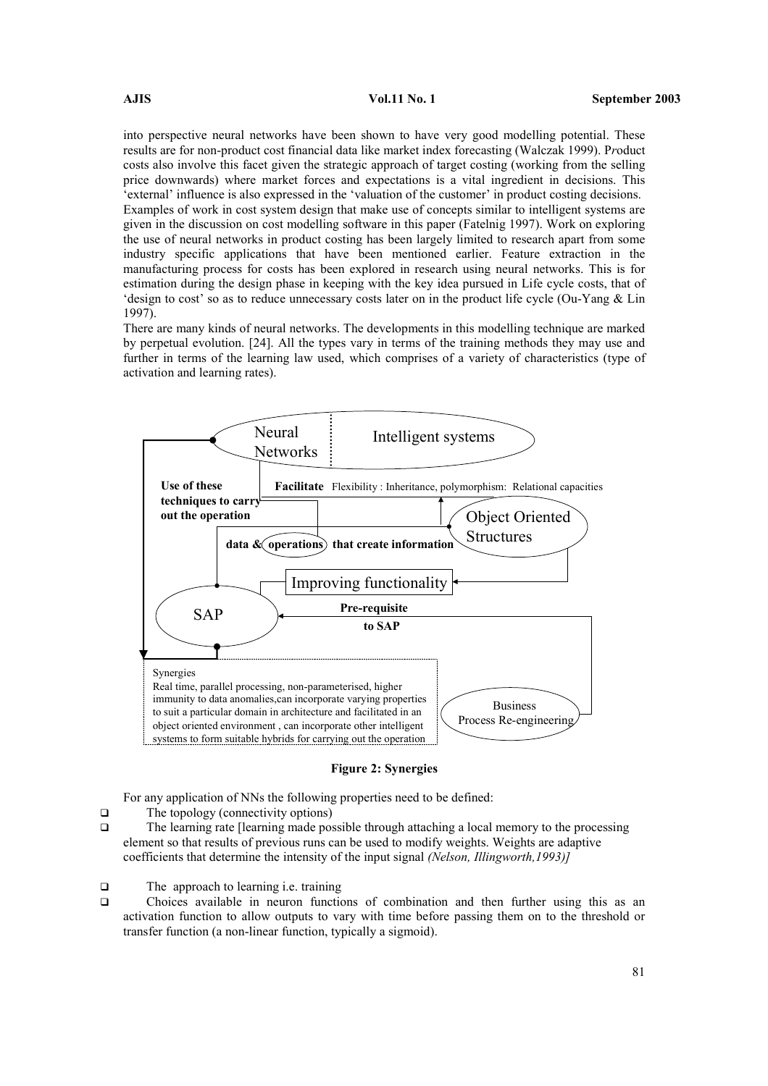into perspective neural networks have been shown to have very good modelling potential. These results are for non-product cost financial data like market index forecasting (Walczak 1999). Product costs also involve this facet given the strategic approach of target costing (working from the selling price downwards) where market forces and expectations is a vital ingredient in decisions. This 'external' influence is also expressed in the 'valuation of the customer' in product costing decisions. Examples of work in cost system design that make use of concepts similar to intelligent systems are given in the discussion on cost modelling software in this paper (Fatelnig 1997). Work on exploring the use of neural networks in product costing has been largely limited to research apart from some industry specific applications that have been mentioned earlier. Feature extraction in the manufacturing process for costs has been explored in research using neural networks. This is for estimation during the design phase in keeping with the key idea pursued in Life cycle costs, that of 'design to cost' so as to reduce unnecessary costs later on in the product life cycle (Ou-Yang & Lin 1997).

There are many kinds of neural networks. The developments in this modelling technique are marked by perpetual evolution. [24]. All the types vary in terms of the training methods they may use and further in terms of the learning law used, which comprises of a variety of characteristics (type of activation and learning rates).



### Figure 2: Synergies

For any application of NNs the following properties need to be defined:

- $\Box$  The topology (connectivity options)
- The learning rate [learning made possible through attaching a local memory to the processing element so that results of previous runs can be used to modify weights. Weights are adaptive coefficients that determine the intensity of the input signal (Nelson, Illingworth,1993)]
- $\Box$  The approach to learning i.e. training
- Choices available in neuron functions of combination and then further using this as an activation function to allow outputs to vary with time before passing them on to the threshold or transfer function (a non-linear function, typically a sigmoid).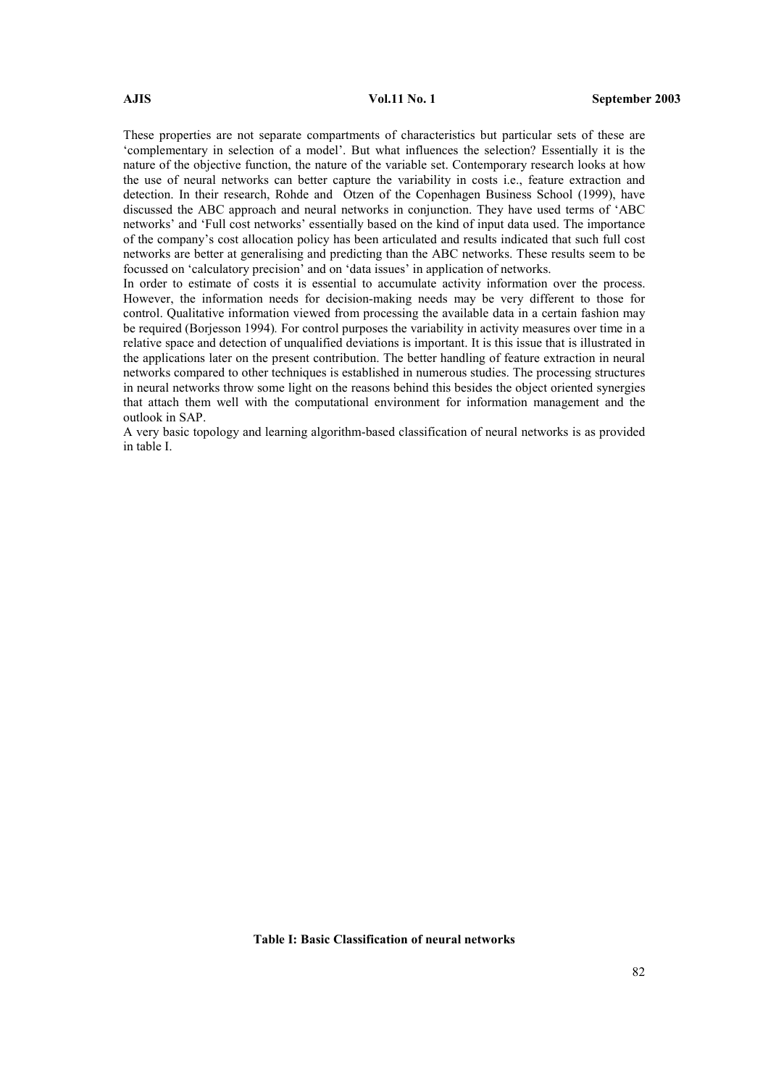These properties are not separate compartments of characteristics but particular sets of these are 'complementary in selection of a model'. But what influences the selection? Essentially it is the nature of the objective function, the nature of the variable set. Contemporary research looks at how the use of neural networks can better capture the variability in costs i.e., feature extraction and detection. In their research, Rohde and Otzen of the Copenhagen Business School (1999), have discussed the ABC approach and neural networks in conjunction. They have used terms of 'ABC networks' and 'Full cost networks' essentially based on the kind of input data used. The importance of the company's cost allocation policy has been articulated and results indicated that such full cost networks are better at generalising and predicting than the ABC networks. These results seem to be focussed on 'calculatory precision' and on 'data issues' in application of networks.

In order to estimate of costs it is essential to accumulate activity information over the process. However, the information needs for decision-making needs may be very different to those for control. Qualitative information viewed from processing the available data in a certain fashion may be required (Borjesson 1994). For control purposes the variability in activity measures over time in a relative space and detection of unqualified deviations is important. It is this issue that is illustrated in the applications later on the present contribution. The better handling of feature extraction in neural networks compared to other techniques is established in numerous studies. The processing structures in neural networks throw some light on the reasons behind this besides the object oriented synergies that attach them well with the computational environment for information management and the outlook in SAP.

A very basic topology and learning algorithm-based classification of neural networks is as provided in table I.

Table I: Basic Classification of neural networks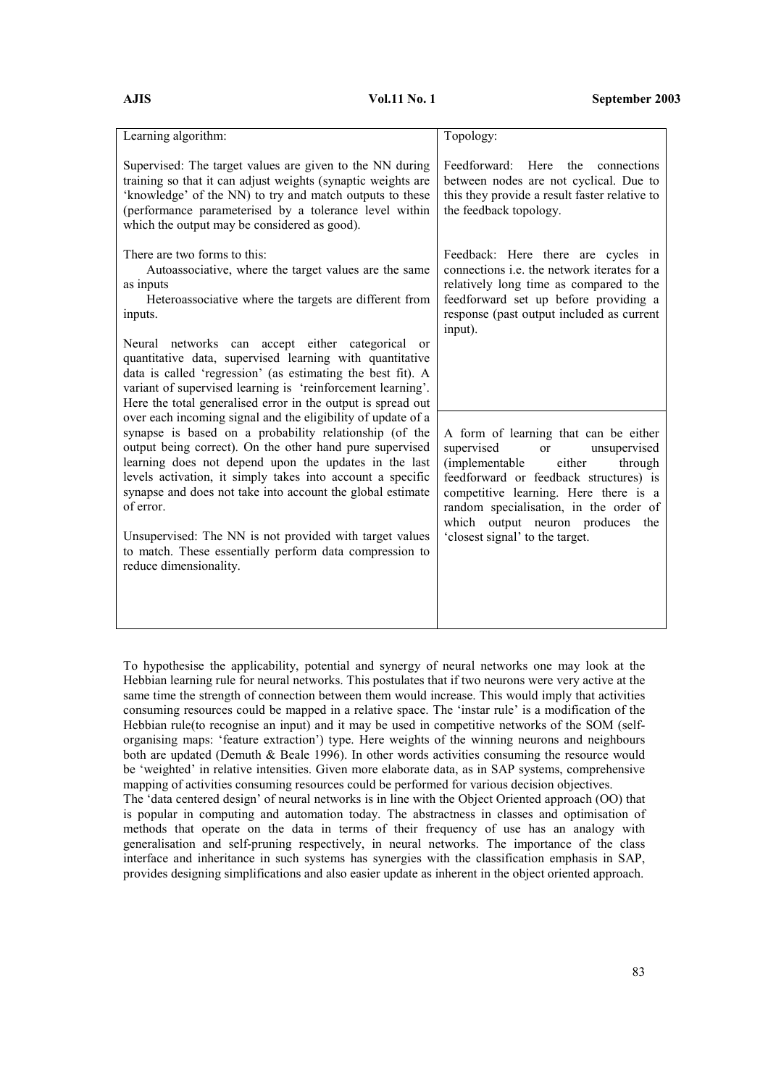| Learning algorithm:                                                                                                                                                                                                                                                                                                                                                                                                                                                                                                                  | Topology:                                                                                                                                                                                                                                                                                                                       |
|--------------------------------------------------------------------------------------------------------------------------------------------------------------------------------------------------------------------------------------------------------------------------------------------------------------------------------------------------------------------------------------------------------------------------------------------------------------------------------------------------------------------------------------|---------------------------------------------------------------------------------------------------------------------------------------------------------------------------------------------------------------------------------------------------------------------------------------------------------------------------------|
| Supervised: The target values are given to the NN during<br>training so that it can adjust weights (synaptic weights are<br>'knowledge' of the NN) to try and match outputs to these<br>(performance parameterised by a tolerance level within<br>which the output may be considered as good).                                                                                                                                                                                                                                       | Feedforward:<br>Here<br>the<br>connections<br>between nodes are not cyclical. Due to<br>this they provide a result faster relative to<br>the feedback topology.                                                                                                                                                                 |
| There are two forms to this:<br>Autoassociative, where the target values are the same<br>as inputs<br>Heteroassociative where the targets are different from<br>inputs.<br>networks can accept either categorical<br>Neural<br><sub>or</sub><br>quantitative data, supervised learning with quantitative<br>data is called 'regression' (as estimating the best fit). A<br>variant of supervised learning is 'reinforcement learning'.<br>Here the total generalised error in the output is spread out                               | Feedback: Here there are cycles in<br>connections <i>i.e.</i> the network iterates for a<br>relatively long time as compared to the<br>feedforward set up before providing a<br>response (past output included as current<br>input).                                                                                            |
| over each incoming signal and the eligibility of update of a<br>synapse is based on a probability relationship (of the<br>output being correct). On the other hand pure supervised<br>learning does not depend upon the updates in the last<br>levels activation, it simply takes into account a specific<br>synapse and does not take into account the global estimate<br>of error.<br>Unsupervised: The NN is not provided with target values<br>to match. These essentially perform data compression to<br>reduce dimensionality. | A form of learning that can be either<br>supervised<br>unsupervised<br><sub>or</sub><br>(implementable<br>through<br>either<br>feedforward or feedback structures) is<br>competitive learning. Here there is a<br>random specialisation, in the order of<br>which output neuron produces the<br>'closest signal' to the target. |

To hypothesise the applicability, potential and synergy of neural networks one may look at the Hebbian learning rule for neural networks. This postulates that if two neurons were very active at the same time the strength of connection between them would increase. This would imply that activities consuming resources could be mapped in a relative space. The 'instar rule' is a modification of the Hebbian rule(to recognise an input) and it may be used in competitive networks of the SOM (selforganising maps: 'feature extraction') type. Here weights of the winning neurons and neighbours both are updated (Demuth & Beale 1996). In other words activities consuming the resource would be 'weighted' in relative intensities. Given more elaborate data, as in SAP systems, comprehensive mapping of activities consuming resources could be performed for various decision objectives.

The 'data centered design' of neural networks is in line with the Object Oriented approach (OO) that is popular in computing and automation today. The abstractness in classes and optimisation of methods that operate on the data in terms of their frequency of use has an analogy with generalisation and self-pruning respectively, in neural networks. The importance of the class interface and inheritance in such systems has synergies with the classification emphasis in SAP, provides designing simplifications and also easier update as inherent in the object oriented approach.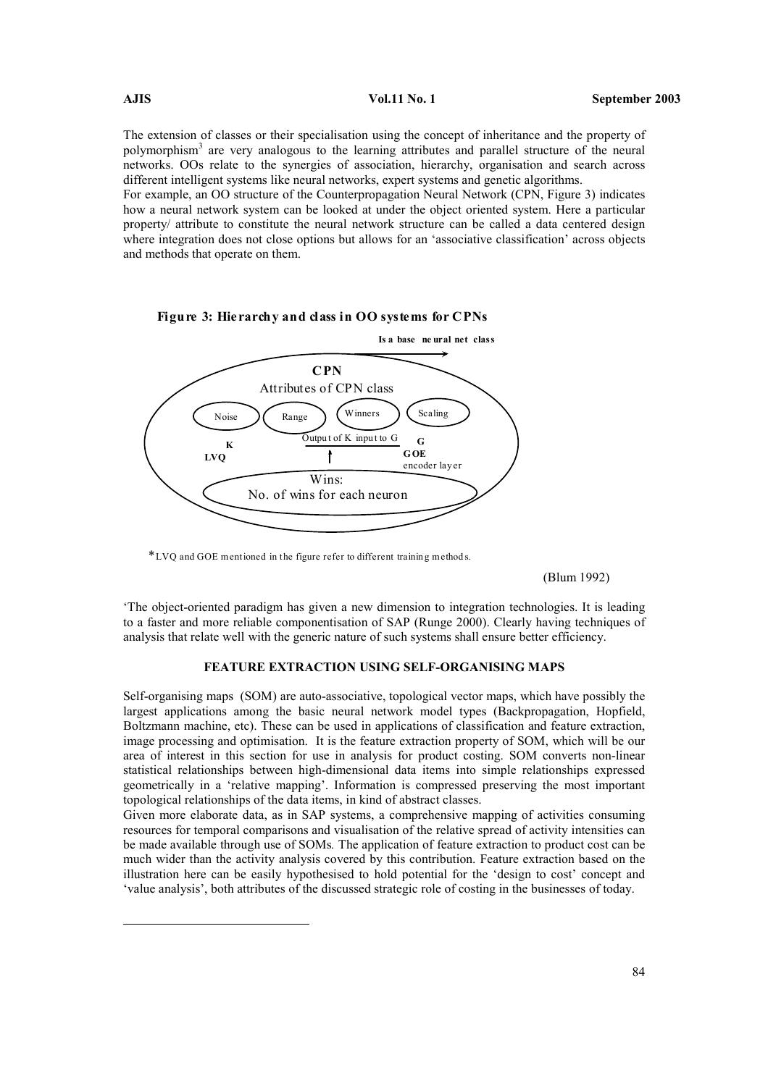$\overline{a}$ 

The extension of classes or their specialisation using the concept of inheritance and the property of polymorphism<sup>3</sup> are very analogous to the learning attributes and parallel structure of the neural networks. OOs relate to the synergies of association, hierarchy, organisation and search across different intelligent systems like neural networks, expert systems and genetic algorithms.

For example, an OO structure of the Counterpropagation Neural Network (CPN, Figure 3) indicates how a neural network system can be looked at under the object oriented system. Here a particular property/ attribute to constitute the neural network structure can be called a data centered design where integration does not close options but allows for an 'associative classification' across objects and methods that operate on them.



Figure 3: Hierarchy and class in OO systems for CPNs

\*LVQ and GOE mentioned in the figure refer to different trainin g method s.

(Blum 1992)

'The object-oriented paradigm has given a new dimension to integration technologies. It is leading to a faster and more reliable componentisation of SAP (Runge 2000). Clearly having techniques of analysis that relate well with the generic nature of such systems shall ensure better efficiency.

# FEATURE EXTRACTION USING SELF-ORGANISING MAPS

Self-organising maps (SOM) are auto-associative, topological vector maps, which have possibly the largest applications among the basic neural network model types (Backpropagation, Hopfield, Boltzmann machine, etc). These can be used in applications of classification and feature extraction, image processing and optimisation. It is the feature extraction property of SOM, which will be our area of interest in this section for use in analysis for product costing. SOM converts non-linear statistical relationships between high-dimensional data items into simple relationships expressed geometrically in a 'relative mapping'. Information is compressed preserving the most important topological relationships of the data items, in kind of abstract classes.

Given more elaborate data, as in SAP systems, a comprehensive mapping of activities consuming resources for temporal comparisons and visualisation of the relative spread of activity intensities can be made available through use of SOMs. The application of feature extraction to product cost can be much wider than the activity analysis covered by this contribution. Feature extraction based on the illustration here can be easily hypothesised to hold potential for the 'design to cost' concept and 'value analysis', both attributes of the discussed strategic role of costing in the businesses of today.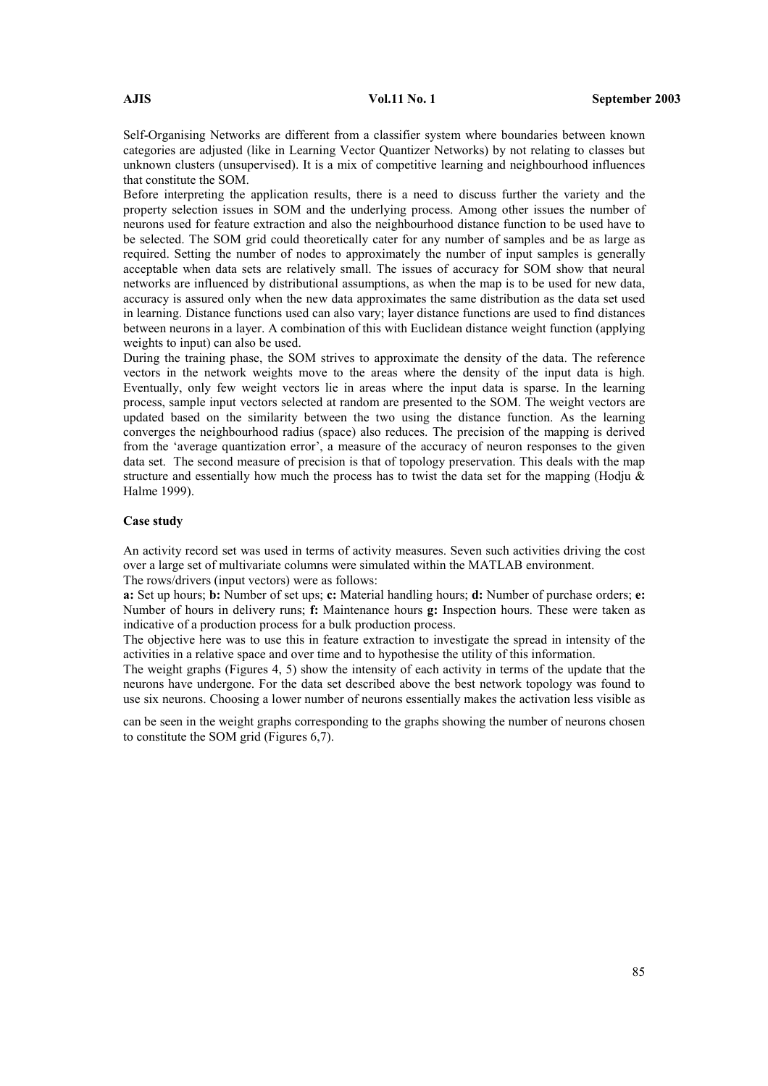Self-Organising Networks are different from a classifier system where boundaries between known categories are adjusted (like in Learning Vector Quantizer Networks) by not relating to classes but unknown clusters (unsupervised). It is a mix of competitive learning and neighbourhood influences that constitute the SOM.

Before interpreting the application results, there is a need to discuss further the variety and the property selection issues in SOM and the underlying process. Among other issues the number of neurons used for feature extraction and also the neighbourhood distance function to be used have to be selected. The SOM grid could theoretically cater for any number of samples and be as large as required. Setting the number of nodes to approximately the number of input samples is generally acceptable when data sets are relatively small. The issues of accuracy for SOM show that neural networks are influenced by distributional assumptions, as when the map is to be used for new data, accuracy is assured only when the new data approximates the same distribution as the data set used in learning. Distance functions used can also vary; layer distance functions are used to find distances between neurons in a layer. A combination of this with Euclidean distance weight function (applying weights to input) can also be used.

During the training phase, the SOM strives to approximate the density of the data. The reference vectors in the network weights move to the areas where the density of the input data is high. Eventually, only few weight vectors lie in areas where the input data is sparse. In the learning process, sample input vectors selected at random are presented to the SOM. The weight vectors are updated based on the similarity between the two using the distance function. As the learning converges the neighbourhood radius (space) also reduces. The precision of the mapping is derived from the 'average quantization error', a measure of the accuracy of neuron responses to the given data set. The second measure of precision is that of topology preservation. This deals with the map structure and essentially how much the process has to twist the data set for the mapping (Hodju  $\&$ Halme 1999).

# Case study

An activity record set was used in terms of activity measures. Seven such activities driving the cost over a large set of multivariate columns were simulated within the MATLAB environment. The rows/drivers (input vectors) were as follows:

a: Set up hours; **b**: Number of set ups; **c**: Material handling hours; **d**: Number of purchase orders; **e**: Number of hours in delivery runs; f: Maintenance hours g: Inspection hours. These were taken as indicative of a production process for a bulk production process.

The objective here was to use this in feature extraction to investigate the spread in intensity of the activities in a relative space and over time and to hypothesise the utility of this information.

The weight graphs (Figures 4, 5) show the intensity of each activity in terms of the update that the neurons have undergone. For the data set described above the best network topology was found to use six neurons. Choosing a lower number of neurons essentially makes the activation less visible as

can be seen in the weight graphs corresponding to the graphs showing the number of neurons chosen to constitute the SOM grid (Figures 6,7).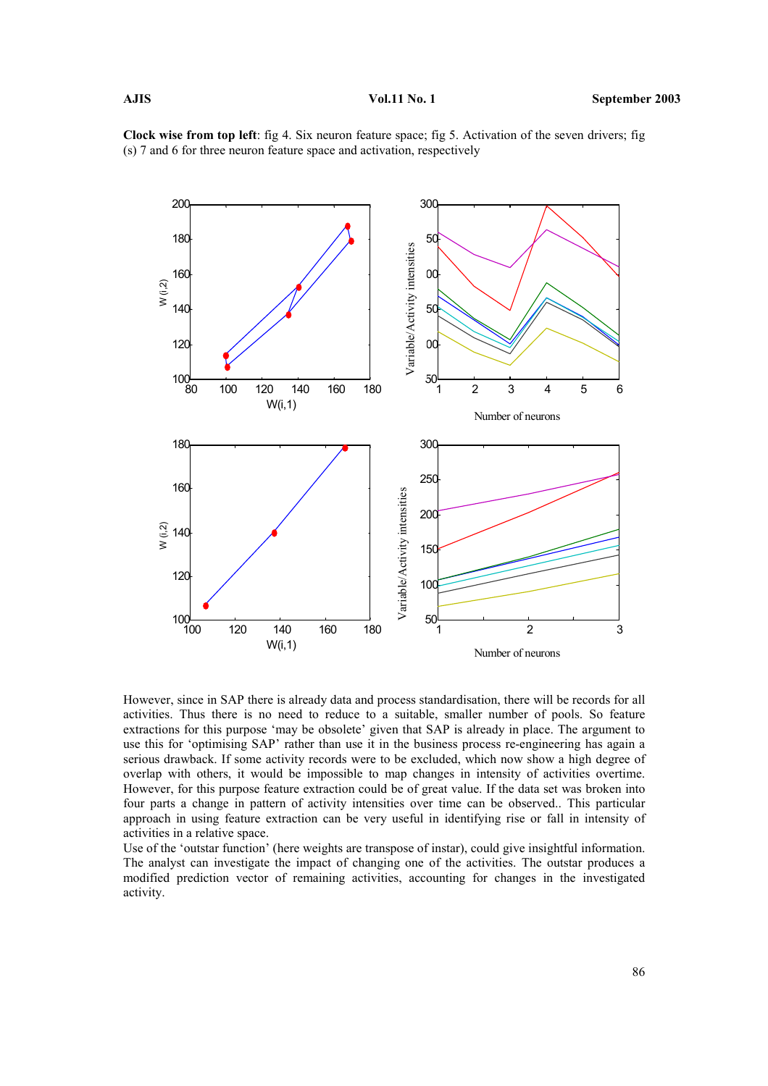Clock wise from top left: fig 4. Six neuron feature space; fig 5. Activation of the seven drivers; fig (s) 7 and 6 for three neuron feature space and activation, respectively



However, since in SAP there is already data and process standardisation, there will be records for all activities. Thus there is no need to reduce to a suitable, smaller number of pools. So feature extractions for this purpose 'may be obsolete' given that SAP is already in place. The argument to use this for 'optimising SAP' rather than use it in the business process re-engineering has again a serious drawback. If some activity records were to be excluded, which now show a high degree of overlap with others, it would be impossible to map changes in intensity of activities overtime. However, for this purpose feature extraction could be of great value. If the data set was broken into four parts a change in pattern of activity intensities over time can be observed.. This particular approach in using feature extraction can be very useful in identifying rise or fall in intensity of activities in a relative space.

Use of the 'outstar function' (here weights are transpose of instar), could give insightful information. The analyst can investigate the impact of changing one of the activities. The outstar produces a modified prediction vector of remaining activities, accounting for changes in the investigated activity.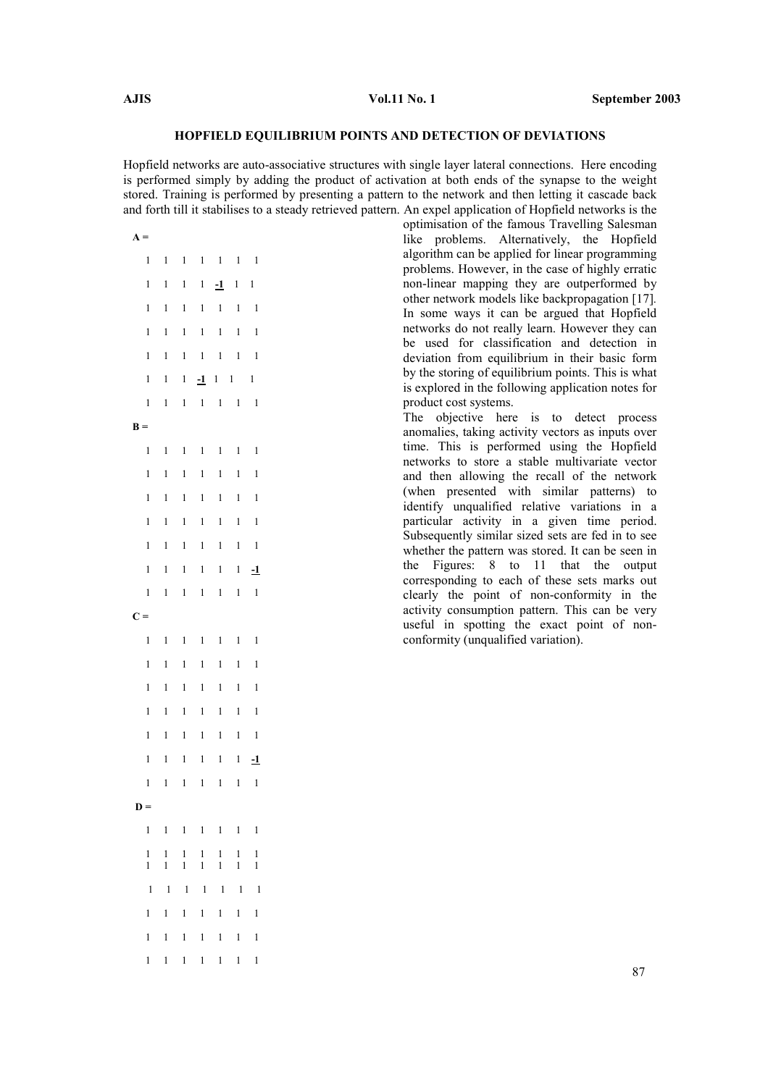# HOPFIELD EQUILIBRIUM POINTS AND DETECTION OF DEVIATIONS

Hopfield networks are auto-associative structures with single layer lateral connections. Here encoding is performed simply by adding the product of activation at both ends of the synapse to the weight stored. Training is performed by presenting a pattern to the network and then letting it cascade back and forth till it stabilises to a steady retrieved pattern. An expel application of Hopfield networks is the

optimisation of the famous Travelling Salesman like problems. Alternatively, the Hopfield algorithm can be applied for linear programming problems. However, in the case of highly erratic non-linear mapping they are outperformed by other network models like backpropagation [17]. In some ways it can be argued that Hopfield networks do not really learn. However they can be used for classification and detection in deviation from equilibrium in their basic form by the storing of equilibrium points. This is what is explored in the following application notes for product cost systems. The objective here is to detect process anomalies, taking activity vectors as inputs over

time. This is performed using the Hopfield networks to store a stable multivariate vector and then allowing the recall of the network (when presented with similar patterns) to identify unqualified relative variations in a particular activity in a given time period. Subsequently similar sized sets are fed in to see whether the pattern was stored. It can be seen in the Figures: 8 to 11 that the output corresponding to each of these sets marks out clearly the point of non-conformity in the activity consumption pattern. This can be very useful in spotting the exact point of nonconformity (unqualified variation).

|                |                              |                              |                              |                              |                                                   |                              | $\mathfrak m$ to $\mathfrak m$ the $\mathfrak n$ stabilises to a st |
|----------------|------------------------------|------------------------------|------------------------------|------------------------------|---------------------------------------------------|------------------------------|---------------------------------------------------------------------|
| $\mathbf{A} =$ |                              |                              |                              |                              |                                                   |                              |                                                                     |
|                | $\mathbf{1}$                 | $\mathbf{1}$                 | $\mathbf{1}$                 | $\overline{\phantom{0}}$     | $\overline{1}$                                    | $\overline{\phantom{0}}$     | $\overline{\phantom{0}}$                                            |
|                | $\mathbf{1}$                 | $\mathbf{1}$                 | $\mathbf{1}$                 | $\mathbf{1}$                 |                                                   | $-1$ 1 1                     |                                                                     |
|                | $\mathbf{1}$                 | $\mathbf{1}$                 | $\mathbf 1$                  | $\mathbf{l}$                 | $\overline{1}$                                    | $\mathbf{1}$                 | $\overline{\phantom{a}}$                                            |
|                | $\mathbf{1}$                 | $\mathbf{1}$                 | $\mathbf{1}$                 | $\mathbf{l}$                 | $\overline{\phantom{0}}$                          | $\,1$                        | $\overline{1}$                                                      |
|                | $\mathbf{1}$                 | $\mathbf{1}$                 | $\mathbf 1$                  | $\overline{\phantom{0}}$     | $\mathbf{1}$                                      | $\mathbf{1}$                 | $\overline{1}$                                                      |
|                | $\mathbf{1}$                 | $\mathbf{1}$                 |                              |                              |                                                   | $1 - 1$ 1 1 1                |                                                                     |
|                | $\mathbf{1}$                 | 1                            |                              |                              | $\begin{array}{cccccc} 1 & 1 & 1 & 1 \end{array}$ |                              | $\overline{1}$                                                      |
| $B =$          |                              |                              |                              |                              |                                                   |                              |                                                                     |
|                | $\mathbf{1}$                 | $\mathbf{1}$                 | $\frac{1}{2}$                | $\,$ 1 $\,$                  |                                                   | $1 \quad 1$                  | $\mathbf{1}$                                                        |
|                | $\mathbf{1}$                 | $\mathbf{1}$                 | $\mathbf{1}$                 | $\mathbf{l}$                 | $\mathbf{1}$                                      | $\,1\,$                      | $\mathbf{1}$                                                        |
|                | $\mathbf{1}$                 | $\mathbf{1}$                 | $\mathbf{1}$                 | $\,$ 1 $\,$                  | $\mathbf{1}$                                      | $\,1$                        | $\mathbf{1}$                                                        |
|                | $\mathbf{1}$                 | $\mathbf{1}$                 | $\mathbf{1}$                 | $\mathbf{1}$                 | $\,$ $\,$                                         | $\,1$                        | $\mathbf{1}$                                                        |
|                | $\mathbf{1}$                 | $\mathbf{1}$                 | $\,1$                        | $\mathbf{1}$                 | $\mathbf{1}$                                      | $\,1$                        | $\mathbf{1}$                                                        |
|                | $\mathbf{1}$                 | $\mathbf{1}$                 | $\,1$                        | $\mathbf{1}$                 | $\mathbf{1}$                                      | $\mathbf 1$                  | $\overline{\mathbf{1}}$                                             |
|                | $\mathbf{1}$                 | $\mathbf{1}$                 | $\mathbf{1}$                 | $\mathbf{1}$                 | $\mathbf{1}$                                      | $\mathbf{1}$                 | $\,$ 1                                                              |
| $C =$          |                              |                              |                              |                              |                                                   |                              |                                                                     |
|                | $\mathbf{1}$                 | $\mathbf{1}$                 | $\mathbf{1}$                 | $\,$ 1                       | $\mathbf{1}$                                      | $\mathbf{1}$                 | $\mathbf{1}$                                                        |
|                | $\mathbf{1}$                 | $\mathbf{1}$                 | $\mathbf{1}$                 | $\mathbf{1}$                 | $\mathbf{1}$                                      | $\mathbf{1}$                 | $\mathbf{1}$                                                        |
|                | $\mathbf{1}$                 | $\mathbf{1}$                 | $\mathbf{1}$                 | $\mathbf{l}$                 | $\mathbf{1}$                                      | $\mathbf{1}$                 | $\mathbf{1}$                                                        |
|                | $\mathbf{1}$                 | $\mathbf{1}$                 | $\mathbf{1}$                 | $\mathbf{l}$                 | $\mathbf{1}$                                      | $\mathbf{1}$                 | $\mathbf{1}$                                                        |
|                | $\mathbf{1}$                 | $\mathbf{1}$                 | $\mathbf 1$                  | $\mathbf{l}$                 | $\mathbf{1}$                                      | $\mathbf{1}$                 | $\overline{\phantom{0}}$                                            |
|                | $\mathbf{1}$                 |                              | $1 \quad 1$                  |                              |                                                   | $1 \quad 1 \quad 1 \quad 1$  |                                                                     |
|                | $\mathbf{1}$                 | $\mathbf{1}$                 | $\,1$                        | $\mathbf{1}$                 | $\mathbf{1}$                                      | $\mathbf{1}$                 | $\mathbf{1}$                                                        |
|                | $\mathbf{D} =$               |                              |                              |                              |                                                   |                              |                                                                     |
|                | 1                            | $\mathbf{1}$                 | 1                            | $\,$ $\,$                    | 1                                                 | $\mathbf{1}$                 | 1                                                                   |
|                | $\mathbf{1}$<br>$\mathbf{1}$ | $\mathbf{1}$<br>$\mathbf{1}$ | $\mathbf{1}$<br>$\mathbf{1}$ | $\mathbf{1}$<br>$\mathbf{1}$ | $\mathbf{1}$<br>$\mathbf 1$                       | $\mathbf{1}$<br>$\mathbf{1}$ | $\mathbf{1}$<br>$\mathbf{1}$                                        |
|                | $\mathbf{1}$                 | $\overline{1}$               | $\overline{\phantom{0}}$     | $\overline{1}$               | $\overline{\phantom{0}}$                          | $\overline{\phantom{0}}$     | $\overline{1}$                                                      |
|                | $\mathbf{1}$                 | $\mathbf{1}$                 | $\mathbf{1}$                 | $1 \quad$                    | 1                                                 | $\mathbf{1}$                 | $\mathbf{1}$                                                        |
|                | $\mathbf{1}$                 | $\mathbf{1}$                 | $1 \quad$                    | $\mathbf{1}$                 | 1                                                 | $\mathbf{1}$                 | 1                                                                   |
|                | $\mathbf{1}$                 | $\mathbf{1}$                 | $\mathbf{1}$                 | $\mathbf{1}$                 | $\mathbf{1}$                                      | $\mathbf{1}$                 | $\mathbf{1}$                                                        |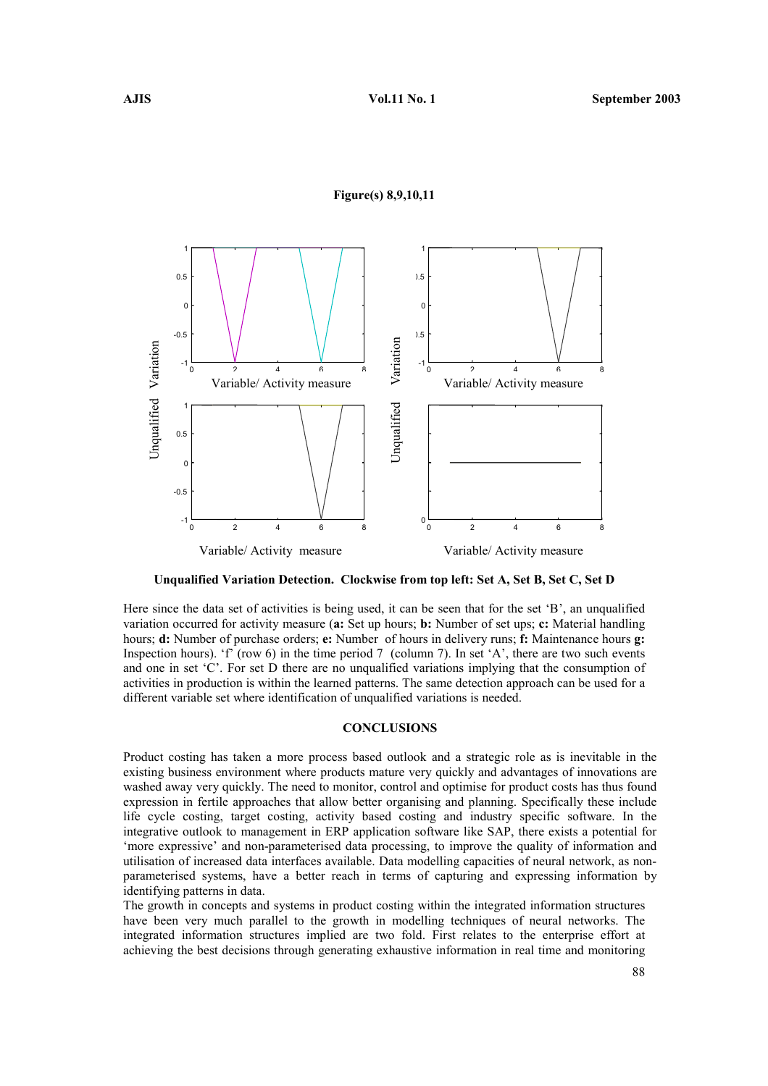#### Figure(s) 8,9,10,11



Unqualified Variation Detection. Clockwise from top left: Set A, Set B, Set C, Set D

Here since the data set of activities is being used, it can be seen that for the set 'B', an unqualified variation occurred for activity measure (a: Set up hours; b: Number of set ups; c: Material handling hours; **d:** Number of purchase orders; **e:** Number of hours in delivery runs; **f:** Maintenance hours **g:** Inspection hours). 'f' (row 6) in the time period 7 (column 7). In set 'A', there are two such events and one in set 'C'. For set D there are no unqualified variations implying that the consumption of activities in production is within the learned patterns. The same detection approach can be used for a different variable set where identification of unqualified variations is needed.

#### **CONCLUSIONS**

Product costing has taken a more process based outlook and a strategic role as is inevitable in the existing business environment where products mature very quickly and advantages of innovations are washed away very quickly. The need to monitor, control and optimise for product costs has thus found expression in fertile approaches that allow better organising and planning. Specifically these include life cycle costing, target costing, activity based costing and industry specific software. In the integrative outlook to management in ERP application software like SAP, there exists a potential for 'more expressive' and non-parameterised data processing, to improve the quality of information and utilisation of increased data interfaces available. Data modelling capacities of neural network, as nonparameterised systems, have a better reach in terms of capturing and expressing information by identifying patterns in data.

The growth in concepts and systems in product costing within the integrated information structures have been very much parallel to the growth in modelling techniques of neural networks. The integrated information structures implied are two fold. First relates to the enterprise effort at achieving the best decisions through generating exhaustive information in real time and monitoring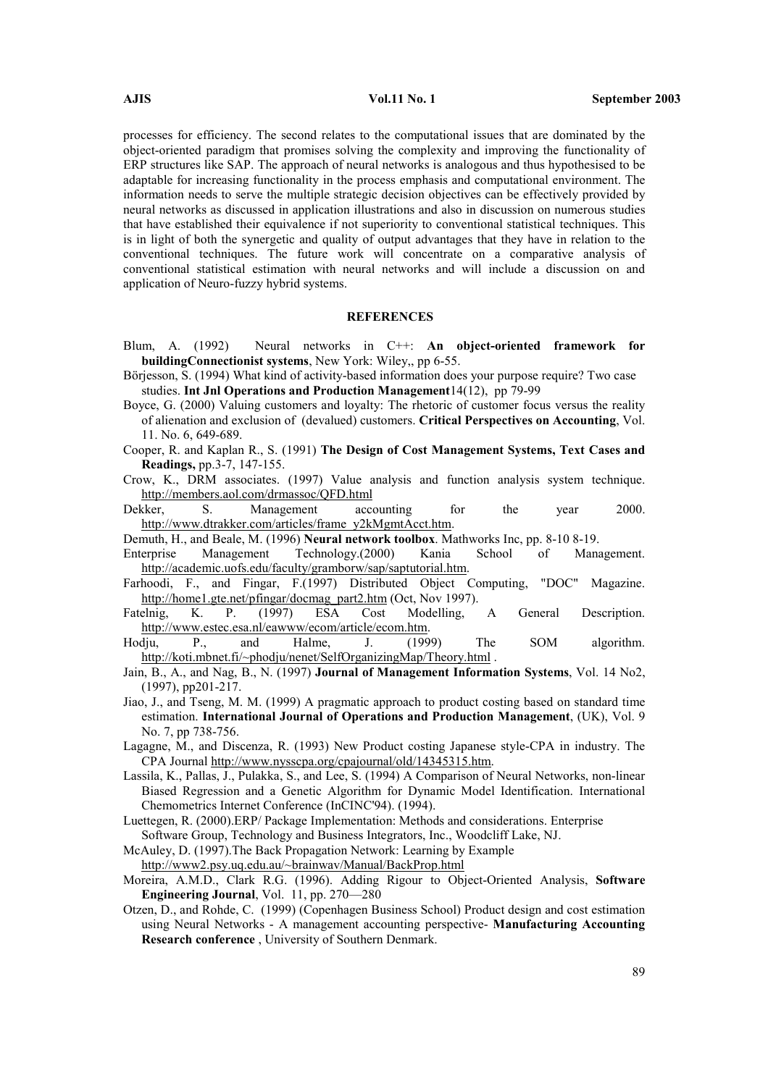processes for efficiency. The second relates to the computational issues that are dominated by the object-oriented paradigm that promises solving the complexity and improving the functionality of ERP structures like SAP. The approach of neural networks is analogous and thus hypothesised to be adaptable for increasing functionality in the process emphasis and computational environment. The information needs to serve the multiple strategic decision objectives can be effectively provided by neural networks as discussed in application illustrations and also in discussion on numerous studies that have established their equivalence if not superiority to conventional statistical techniques. This is in light of both the synergetic and quality of output advantages that they have in relation to the conventional techniques. The future work will concentrate on a comparative analysis of conventional statistical estimation with neural networks and will include a discussion on and application of Neuro-fuzzy hybrid systems.

#### **REFERENCES**

- Blum, A. (1992) Neural networks in C++: An object-oriented framework for buildingConnectionist systems, New York: Wiley,, pp 6-55.
- Börjesson, S. (1994) What kind of activity-based information does your purpose require? Two case studies. Int Jnl Operations and Production Management14(12), pp 79-99
- Boyce, G. (2000) Valuing customers and loyalty: The rhetoric of customer focus versus the reality of alienation and exclusion of (devalued) customers. Critical Perspectives on Accounting, Vol. 11. No. 6, 649-689.
- Cooper, R. and Kaplan R., S. (1991) The Design of Cost Management Systems, Text Cases and Readings, pp.3-7, 147-155.
- Crow, K., DRM associates. (1997) Value analysis and function analysis system technique. http://members.aol.com/drmassoc/QFD.html
- Dekker, S. Management accounting for the year 2000. http://www.dtrakker.com/articles/frame\_y2kMgmtAcct.htm.
- Demuth, H., and Beale, M. (1996) Neural network toolbox. Mathworks Inc, pp. 8-10 8-19.
- Enterprise Management Technology.(2000) Kania School of Management. http://academic.uofs.edu/faculty/gramborw/sap/saptutorial.htm.
- Farhoodi, F., and Fingar, F.(1997) Distributed Object Computing, "DOC" Magazine. http://home1.gte.net/pfingar/docmag\_part2.htm (Oct, Nov 1997).<br>Fatelnig, K. P. (1997) ESA Cost Modelling,
- Modelling, A. General Description. http://www.estec.esa.nl/eawww/ecom/article/ecom.htm.
- Hodju, P., and Halme, J. (1999) The SOM algorithm. http://koti.mbnet.fi/~phodju/nenet/SelfOrganizingMap/Theory.html .
- Jain, B., A., and Nag, B., N. (1997) Journal of Management Information Systems, Vol. 14 No2, (1997), pp201-217.
- Jiao, J., and Tseng, M. M. (1999) A pragmatic approach to product costing based on standard time estimation. International Journal of Operations and Production Management, (UK), Vol. 9 No. 7, pp 738-756.
- Lagagne, M., and Discenza, R. (1993) New Product costing Japanese style-CPA in industry. The CPA Journal http://www.nysscpa.org/cpajournal/old/14345315.htm.
- Lassila, K., Pallas, J., Pulakka, S., and Lee, S. (1994) A Comparison of Neural Networks, non-linear Biased Regression and a Genetic Algorithm for Dynamic Model Identification. International Chemometrics Internet Conference (InCINC'94). (1994).
- Luettegen, R. (2000).ERP/ Package Implementation: Methods and considerations. Enterprise Software Group, Technology and Business Integrators, Inc., Woodcliff Lake, NJ.
- McAuley, D. (1997).The Back Propagation Network: Learning by Example

http://www2.psy.uq.edu.au/~brainwav/Manual/BackProp.html

- Moreira, A.M.D., Clark R.G. (1996). Adding Rigour to Object-Oriented Analysis, Software Engineering Journal, Vol. 11, pp. 270—280
- Otzen, D., and Rohde, C. (1999) (Copenhagen Business School) Product design and cost estimation using Neural Networks - A management accounting perspective- Manufacturing Accounting Research conference , University of Southern Denmark.